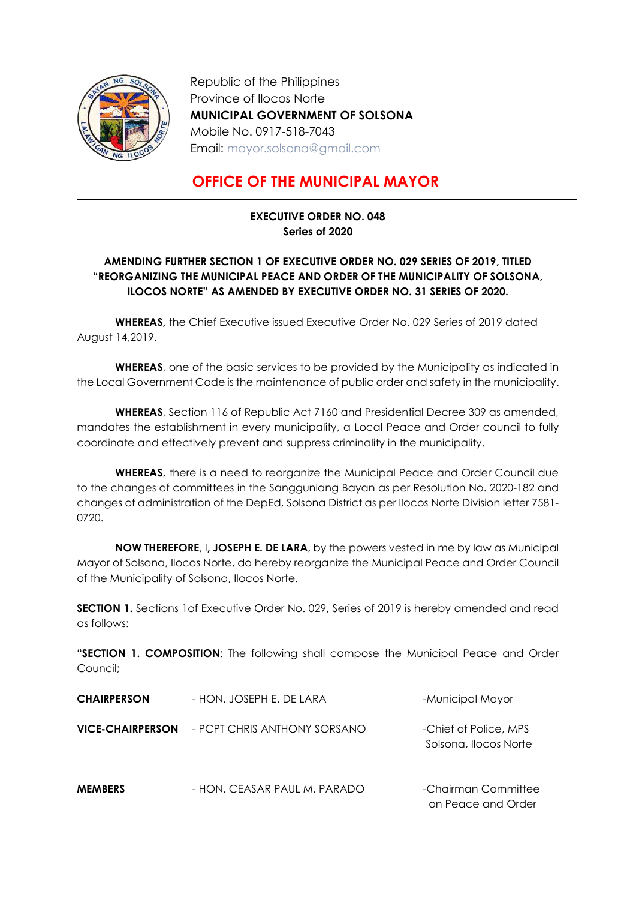

-

Republic of the Philippines Province of Ilocos Norte MUNICIPAL GOVERNMENT OF SOLSONA Mobile No. 0917-518-7043 Email: mayor.solsona@gmail.com

## OFFICE OF THE MUNICIPAL MAYOR

## EXECUTIVE ORDER NO. 048 Series of 2020

## AMENDING FURTHER SECTION 1 OF EXECUTIVE ORDER NO. 029 SERIES OF 2019, TITLED "REORGANIZING THE MUNICIPAL PEACE AND ORDER OF THE MUNICIPALITY OF SOLSONA, ILOCOS NORTE" AS AMENDED BY EXECUTIVE ORDER NO. 31 SERIES OF 2020.

WHEREAS, the Chief Executive issued Executive Order No. 029 Series of 2019 dated August 14,2019.

WHEREAS, one of the basic services to be provided by the Municipality as indicated in the Local Government Code is the maintenance of public order and safety in the municipality.

WHEREAS, Section 116 of Republic Act 7160 and Presidential Decree 309 as amended, mandates the establishment in every municipality, a Local Peace and Order council to fully coordinate and effectively prevent and suppress criminality in the municipality.

WHEREAS, there is a need to reorganize the Municipal Peace and Order Council due to the changes of committees in the Sangguniang Bayan as per Resolution No. 2020-182 and changes of administration of the DepEd, Solsona District as per Ilocos Norte Division letter 7581- 0720.

NOW THEREFORE, I, JOSEPH E. DE LARA, by the powers vested in me by law as Municipal Mayor of Solsona, Ilocos Norte, do hereby reorganize the Municipal Peace and Order Council of the Municipality of Solsona, Ilocos Norte.

SECTION 1. Sections 1of Executive Order No. 029, Series of 2019 is hereby amended and read as follows:

"SECTION 1. COMPOSITION: The following shall compose the Municipal Peace and Order Council;

| <b>CHAIRPERSON</b>      | - HON. JOSEPH E. DE LARA     | -Municipal Mayor                               |
|-------------------------|------------------------------|------------------------------------------------|
| <b>VICE-CHAIRPERSON</b> | - PCPT CHRIS ANTHONY SORSANO | -Chief of Police, MPS<br>Solsona, Ilocos Norte |
| <b>MEMBERS</b>          | - HON. CEASAR PAUL M. PARADO | -Chairman Committee                            |

on Peace and Order